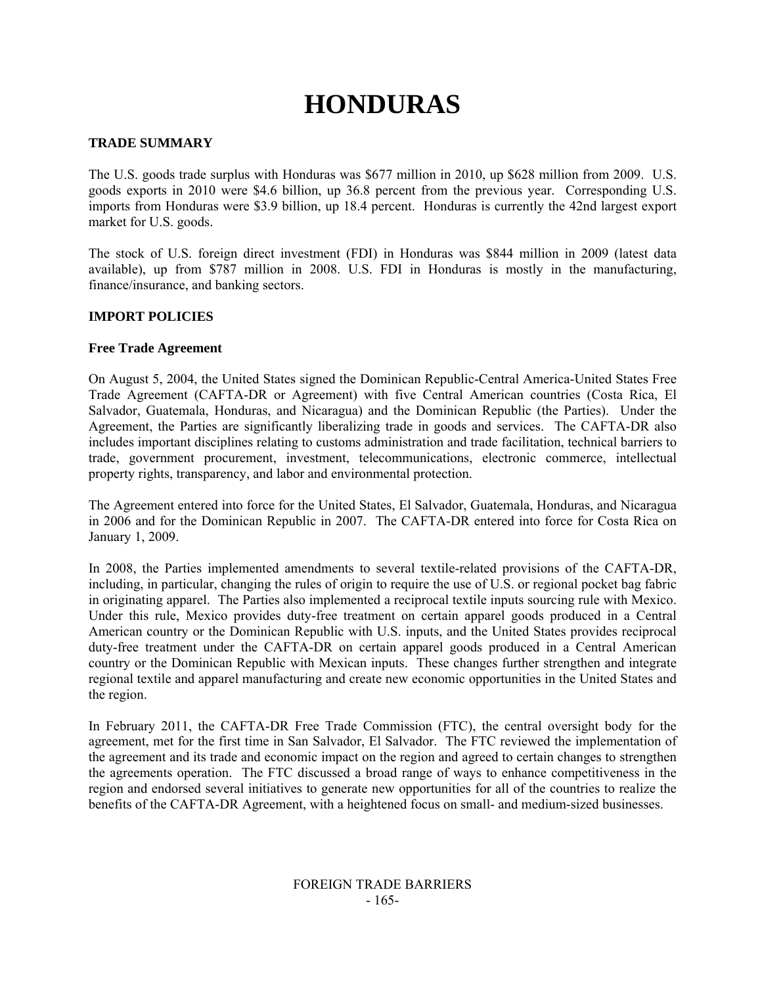# **HONDURAS**

# **TRADE SUMMARY**

The U.S. goods trade surplus with Honduras was \$677 million in 2010, up \$628 million from 2009. U.S. goods exports in 2010 were \$4.6 billion, up 36.8 percent from the previous year. Corresponding U.S. imports from Honduras were \$3.9 billion, up 18.4 percent. Honduras is currently the 42nd largest export market for U.S. goods.

The stock of U.S. foreign direct investment (FDI) in Honduras was \$844 million in 2009 (latest data available), up from \$787 million in 2008. U.S. FDI in Honduras is mostly in the manufacturing, finance/insurance, and banking sectors.

# **IMPORT POLICIES**

# **Free Trade Agreement**

On August 5, 2004, the United States signed the Dominican Republic-Central America-United States Free Trade Agreement (CAFTA-DR or Agreement) with five Central American countries (Costa Rica, El Salvador, Guatemala, Honduras, and Nicaragua) and the Dominican Republic (the Parties). Under the Agreement, the Parties are significantly liberalizing trade in goods and services. The CAFTA-DR also includes important disciplines relating to customs administration and trade facilitation, technical barriers to trade, government procurement, investment, telecommunications, electronic commerce, intellectual property rights, transparency, and labor and environmental protection.

The Agreement entered into force for the United States, El Salvador, Guatemala, Honduras, and Nicaragua in 2006 and for the Dominican Republic in 2007. The CAFTA-DR entered into force for Costa Rica on January 1, 2009.

In 2008, the Parties implemented amendments to several textile-related provisions of the CAFTA-DR, including, in particular, changing the rules of origin to require the use of U.S. or regional pocket bag fabric in originating apparel. The Parties also implemented a reciprocal textile inputs sourcing rule with Mexico. Under this rule, Mexico provides duty-free treatment on certain apparel goods produced in a Central American country or the Dominican Republic with U.S. inputs, and the United States provides reciprocal duty-free treatment under the CAFTA-DR on certain apparel goods produced in a Central American country or the Dominican Republic with Mexican inputs. These changes further strengthen and integrate regional textile and apparel manufacturing and create new economic opportunities in the United States and the region.

In February 2011, the CAFTA-DR Free Trade Commission (FTC), the central oversight body for the agreement, met for the first time in San Salvador, El Salvador. The FTC reviewed the implementation of the agreement and its trade and economic impact on the region and agreed to certain changes to strengthen the agreements operation. The FTC discussed a broad range of ways to enhance competitiveness in the region and endorsed several initiatives to generate new opportunities for all of the countries to realize the benefits of the CAFTA-DR Agreement, with a heightened focus on small- and medium-sized businesses.

# FOREIGN TRADE BARRIERS - 165-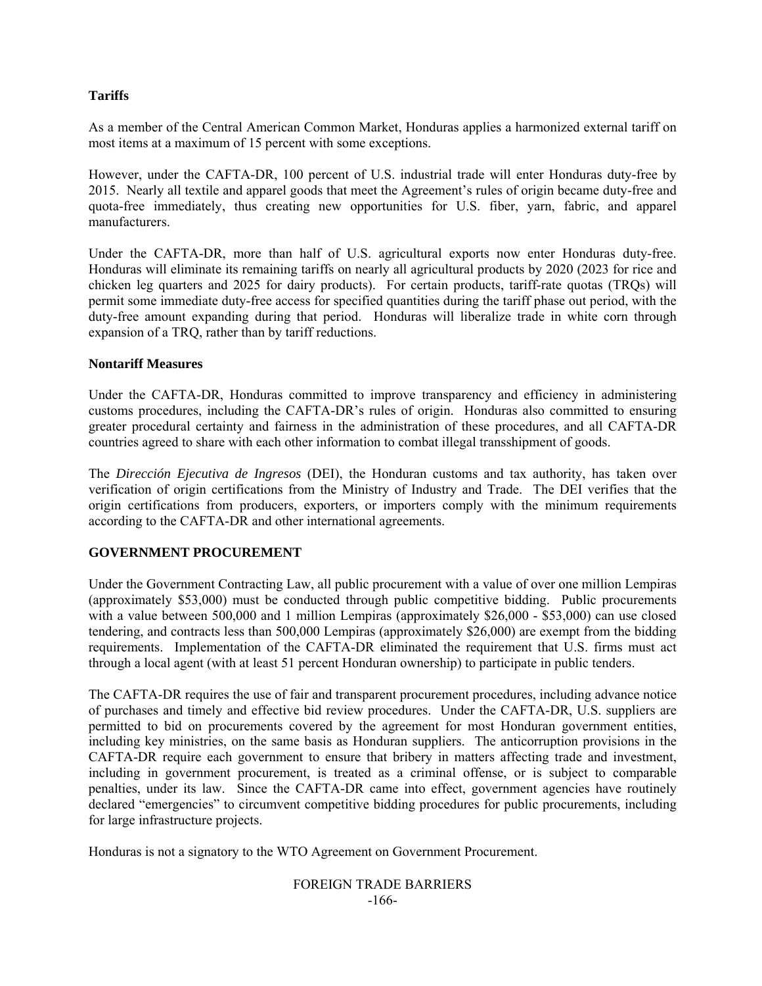# **Tariffs**

As a member of the Central American Common Market, Honduras applies a harmonized external tariff on most items at a maximum of 15 percent with some exceptions.

However, under the CAFTA-DR, 100 percent of U.S. industrial trade will enter Honduras duty-free by 2015. Nearly all textile and apparel goods that meet the Agreement's rules of origin became duty-free and quota-free immediately, thus creating new opportunities for U.S. fiber, yarn, fabric, and apparel manufacturers.

Under the CAFTA-DR, more than half of U.S. agricultural exports now enter Honduras duty-free. Honduras will eliminate its remaining tariffs on nearly all agricultural products by 2020 (2023 for rice and chicken leg quarters and 2025 for dairy products). For certain products, tariff-rate quotas (TRQs) will permit some immediate duty-free access for specified quantities during the tariff phase out period, with the duty-free amount expanding during that period. Honduras will liberalize trade in white corn through expansion of a TRQ, rather than by tariff reductions.

# **Nontariff Measures**

Under the CAFTA-DR, Honduras committed to improve transparency and efficiency in administering customs procedures, including the CAFTA-DR's rules of origin. Honduras also committed to ensuring greater procedural certainty and fairness in the administration of these procedures, and all CAFTA-DR countries agreed to share with each other information to combat illegal transshipment of goods.

The *Dirección Ejecutiva de Ingresos* (DEI), the Honduran customs and tax authority, has taken over verification of origin certifications from the Ministry of Industry and Trade. The DEI verifies that the origin certifications from producers, exporters, or importers comply with the minimum requirements according to the CAFTA-DR and other international agreements.

# **GOVERNMENT PROCUREMENT**

Under the Government Contracting Law, all public procurement with a value of over one million Lempiras (approximately \$53,000) must be conducted through public competitive bidding. Public procurements with a value between 500,000 and 1 million Lempiras (approximately \$26,000 - \$53,000) can use closed tendering, and contracts less than 500,000 Lempiras (approximately \$26,000) are exempt from the bidding requirements. Implementation of the CAFTA-DR eliminated the requirement that U.S. firms must act through a local agent (with at least 51 percent Honduran ownership) to participate in public tenders.

The CAFTA-DR requires the use of fair and transparent procurement procedures, including advance notice of purchases and timely and effective bid review procedures. Under the CAFTA-DR, U.S. suppliers are permitted to bid on procurements covered by the agreement for most Honduran government entities, including key ministries, on the same basis as Honduran suppliers. The anticorruption provisions in the CAFTA-DR require each government to ensure that bribery in matters affecting trade and investment, including in government procurement, is treated as a criminal offense, or is subject to comparable penalties, under its law. Since the CAFTA-DR came into effect, government agencies have routinely declared "emergencies" to circumvent competitive bidding procedures for public procurements, including for large infrastructure projects.

Honduras is not a signatory to the WTO Agreement on Government Procurement.

# FOREIGN TRADE BARRIERS -166-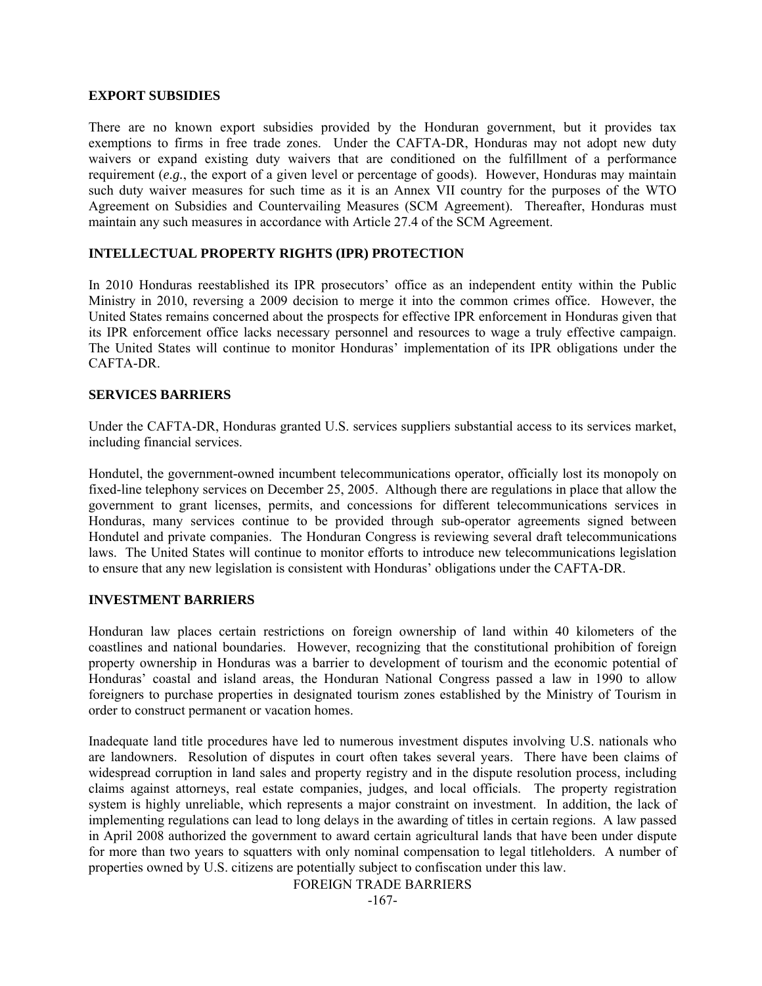#### **EXPORT SUBSIDIES**

There are no known export subsidies provided by the Honduran government, but it provides tax exemptions to firms in free trade zones. Under the CAFTA-DR, Honduras may not adopt new duty waivers or expand existing duty waivers that are conditioned on the fulfillment of a performance requirement (*e.g.*, the export of a given level or percentage of goods). However, Honduras may maintain such duty waiver measures for such time as it is an Annex VII country for the purposes of the WTO Agreement on Subsidies and Countervailing Measures (SCM Agreement). Thereafter, Honduras must maintain any such measures in accordance with Article 27.4 of the SCM Agreement.

# **INTELLECTUAL PROPERTY RIGHTS (IPR) PROTECTION**

In 2010 Honduras reestablished its IPR prosecutors' office as an independent entity within the Public Ministry in 2010, reversing a 2009 decision to merge it into the common crimes office. However, the United States remains concerned about the prospects for effective IPR enforcement in Honduras given that its IPR enforcement office lacks necessary personnel and resources to wage a truly effective campaign. The United States will continue to monitor Honduras' implementation of its IPR obligations under the CAFTA-DR.

#### **SERVICES BARRIERS**

Under the CAFTA-DR, Honduras granted U.S. services suppliers substantial access to its services market, including financial services.

Hondutel, the government-owned incumbent telecommunications operator, officially lost its monopoly on fixed-line telephony services on December 25, 2005. Although there are regulations in place that allow the government to grant licenses, permits, and concessions for different telecommunications services in Honduras, many services continue to be provided through sub-operator agreements signed between Hondutel and private companies. The Honduran Congress is reviewing several draft telecommunications laws. The United States will continue to monitor efforts to introduce new telecommunications legislation to ensure that any new legislation is consistent with Honduras' obligations under the CAFTA-DR.

# **INVESTMENT BARRIERS**

Honduran law places certain restrictions on foreign ownership of land within 40 kilometers of the coastlines and national boundaries. However, recognizing that the constitutional prohibition of foreign property ownership in Honduras was a barrier to development of tourism and the economic potential of Honduras' coastal and island areas, the Honduran National Congress passed a law in 1990 to allow foreigners to purchase properties in designated tourism zones established by the Ministry of Tourism in order to construct permanent or vacation homes.

Inadequate land title procedures have led to numerous investment disputes involving U.S. nationals who are landowners. Resolution of disputes in court often takes several years. There have been claims of widespread corruption in land sales and property registry and in the dispute resolution process, including claims against attorneys, real estate companies, judges, and local officials. The property registration system is highly unreliable, which represents a major constraint on investment. In addition, the lack of implementing regulations can lead to long delays in the awarding of titles in certain regions. A law passed in April 2008 authorized the government to award certain agricultural lands that have been under dispute for more than two years to squatters with only nominal compensation to legal titleholders. A number of properties owned by U.S. citizens are potentially subject to confiscation under this law.

FOREIGN TRADE BARRIERS